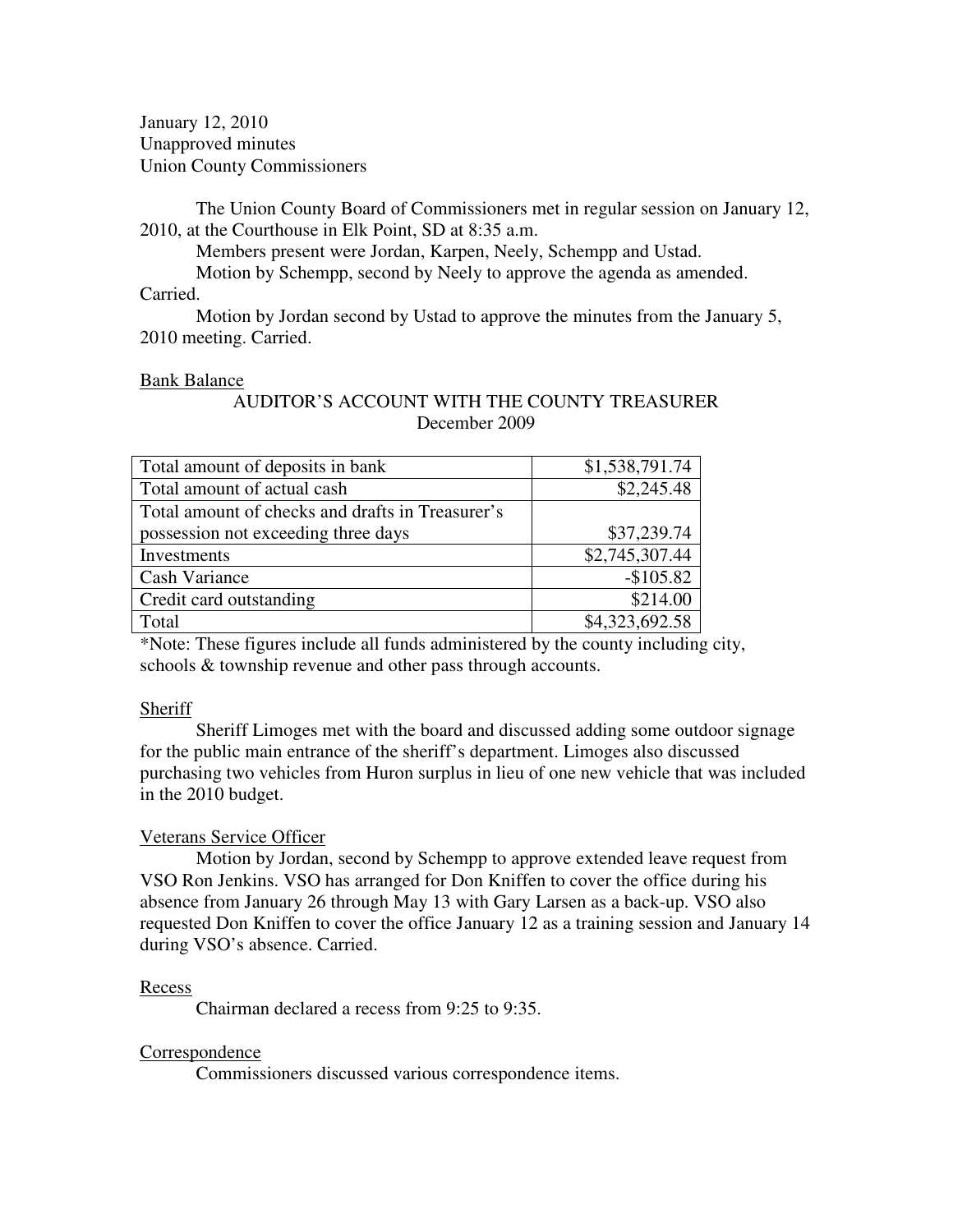January 12, 2010 Unapproved minutes Union County Commissioners

The Union County Board of Commissioners met in regular session on January 12, 2010, at the Courthouse in Elk Point, SD at 8:35 a.m.

Members present were Jordan, Karpen, Neely, Schempp and Ustad.

Motion by Schempp, second by Neely to approve the agenda as amended.

Carried.

 Motion by Jordan second by Ustad to approve the minutes from the January 5, 2010 meeting. Carried.

## Bank Balance

## AUDITOR'S ACCOUNT WITH THE COUNTY TREASURER December 2009

| Total amount of deposits in bank                 | \$1,538,791.74 |
|--------------------------------------------------|----------------|
| Total amount of actual cash                      | \$2,245.48     |
| Total amount of checks and drafts in Treasurer's |                |
| possession not exceeding three days              | \$37,239.74    |
| Investments                                      | \$2,745,307.44 |
| <b>Cash Variance</b>                             | $-$105.82$     |
| Credit card outstanding                          | \$214.00       |
| Total                                            | \$4,323,692.58 |

\*Note: These figures include all funds administered by the county including city, schools & township revenue and other pass through accounts.

## **Sheriff**

 Sheriff Limoges met with the board and discussed adding some outdoor signage for the public main entrance of the sheriff's department. Limoges also discussed purchasing two vehicles from Huron surplus in lieu of one new vehicle that was included in the 2010 budget.

## Veterans Service Officer

Motion by Jordan, second by Schempp to approve extended leave request from VSO Ron Jenkins. VSO has arranged for Don Kniffen to cover the office during his absence from January 26 through May 13 with Gary Larsen as a back-up. VSO also requested Don Kniffen to cover the office January 12 as a training session and January 14 during VSO's absence. Carried.

## Recess

Chairman declared a recess from 9:25 to 9:35.

# **Correspondence**

Commissioners discussed various correspondence items.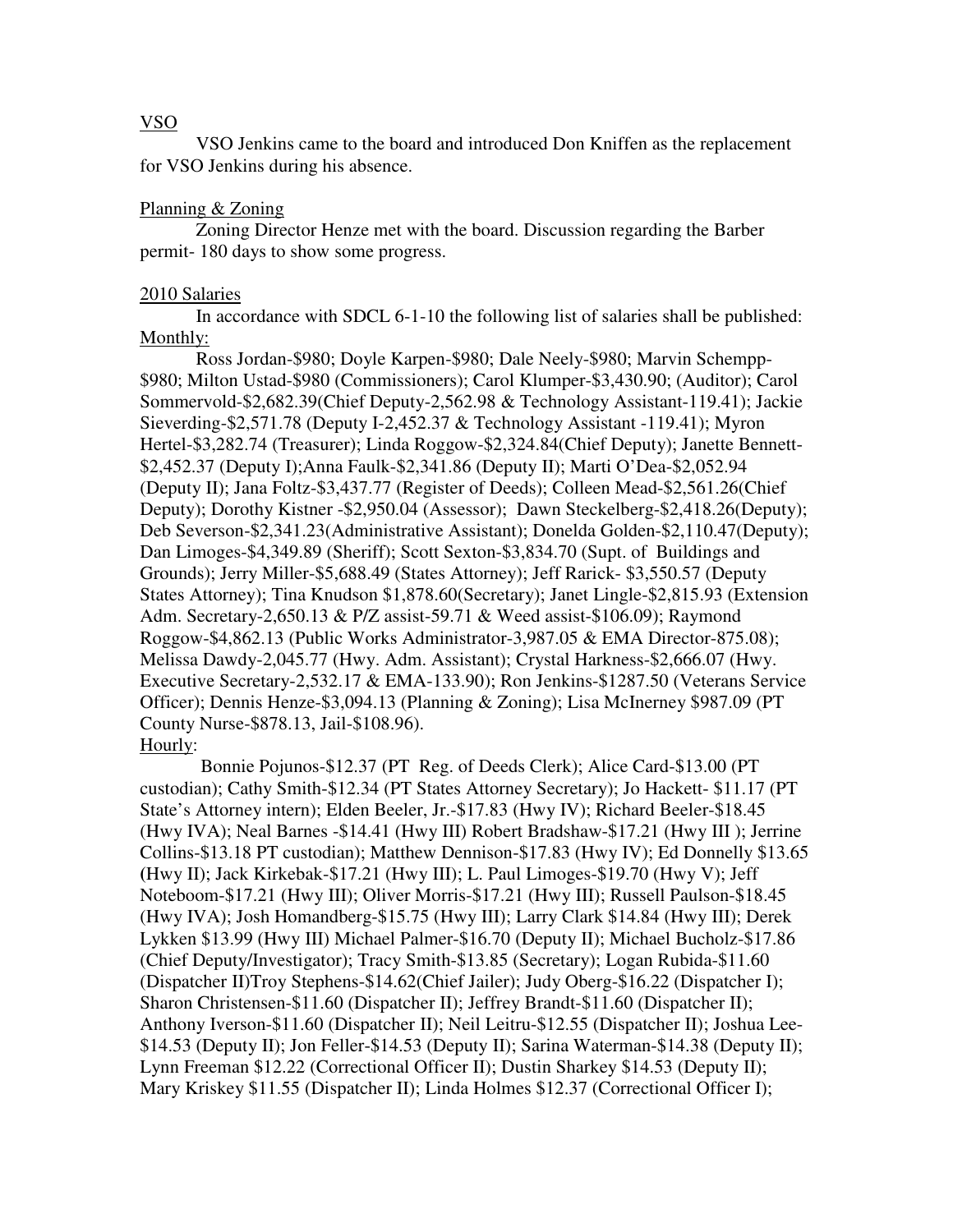## VSO

VSO Jenkins came to the board and introduced Don Kniffen as the replacement for VSO Jenkins during his absence.

#### Planning & Zoning

Zoning Director Henze met with the board. Discussion regarding the Barber permit- 180 days to show some progress.

#### 2010 Salaries

 In accordance with SDCL 6-1-10 the following list of salaries shall be published: Monthly:

 Ross Jordan-\$980; Doyle Karpen-\$980; Dale Neely-\$980; Marvin Schempp- \$980; Milton Ustad-\$980 (Commissioners); Carol Klumper-\$3,430.90; (Auditor); Carol Sommervold-\$2,682.39(Chief Deputy-2,562.98 & Technology Assistant-119.41); Jackie Sieverding-\$2,571.78 (Deputy I-2,452.37 & Technology Assistant -119.41); Myron Hertel-\$3,282.74 (Treasurer); Linda Roggow-\$2,324.84(Chief Deputy); Janette Bennett- \$2,452.37 (Deputy I);Anna Faulk-\$2,341.86 (Deputy II); Marti O'Dea-\$2,052.94 (Deputy II); Jana Foltz-\$3,437.77 (Register of Deeds); Colleen Mead-\$2,561.26(Chief Deputy); Dorothy Kistner -\$2,950.04 (Assessor); Dawn Steckelberg-\$2,418.26(Deputy); Deb Severson-\$2,341.23(Administrative Assistant); Donelda Golden-\$2,110.47(Deputy); Dan Limoges-\$4,349.89 (Sheriff); Scott Sexton-\$3,834.70 (Supt. of Buildings and Grounds); Jerry Miller-\$5,688.49 (States Attorney); Jeff Rarick- \$3,550.57 (Deputy States Attorney); Tina Knudson \$1,878.60(Secretary); Janet Lingle-\$2,815.93 (Extension Adm. Secretary-2,650.13 & P/Z assist-59.71 & Weed assist-\$106.09); Raymond Roggow-\$4,862.13 (Public Works Administrator-3,987.05 & EMA Director-875.08); Melissa Dawdy-2,045.77 (Hwy. Adm. Assistant); Crystal Harkness-\$2,666.07 (Hwy. Executive Secretary-2,532.17 & EMA-133.90); Ron Jenkins-\$1287.50 (Veterans Service Officer); Dennis Henze-\$3,094.13 (Planning & Zoning); Lisa McInerney \$987.09 (PT County Nurse-\$878.13, Jail-\$108.96).

#### Hourly:

 Bonnie Pojunos-\$12.37 (PT Reg. of Deeds Clerk); Alice Card-\$13.00 (PT custodian); Cathy Smith-\$12.34 (PT States Attorney Secretary); Jo Hackett- \$11.17 (PT State's Attorney intern); Elden Beeler, Jr.-\$17.83 (Hwy IV); Richard Beeler-\$18.45 (Hwy IVA); Neal Barnes -\$14.41 (Hwy III) Robert Bradshaw-\$17.21 (Hwy III ); Jerrine Collins-\$13.18 PT custodian); Matthew Dennison-\$17.83 (Hwy IV); Ed Donnelly \$13.65 **(**Hwy II); Jack Kirkebak-\$17.21 (Hwy III); L. Paul Limoges-\$19.70 (Hwy V); Jeff Noteboom-\$17.21 (Hwy III); Oliver Morris-\$17.21 (Hwy III); Russell Paulson-\$18.45 (Hwy IVA); Josh Homandberg-\$15.75 (Hwy III); Larry Clark \$14.84 (Hwy III); Derek Lykken \$13.99 (Hwy III) Michael Palmer-\$16.70 (Deputy II); Michael Bucholz-\$17.86 (Chief Deputy/Investigator); Tracy Smith-\$13.85 (Secretary); Logan Rubida-\$11.60 (Dispatcher II)Troy Stephens-\$14.62(Chief Jailer); Judy Oberg-\$16.22 (Dispatcher I); Sharon Christensen-\$11.60 (Dispatcher II); Jeffrey Brandt-\$11.60 (Dispatcher II); Anthony Iverson-\$11.60 (Dispatcher II); Neil Leitru-\$12.55 (Dispatcher II); Joshua Lee- \$14.53 (Deputy II); Jon Feller-\$14.53 (Deputy II); Sarina Waterman-\$14.38 (Deputy II); Lynn Freeman \$12.22 (Correctional Officer II); Dustin Sharkey \$14.53 (Deputy II); Mary Kriskey \$11.55 (Dispatcher II); Linda Holmes \$12.37 (Correctional Officer I);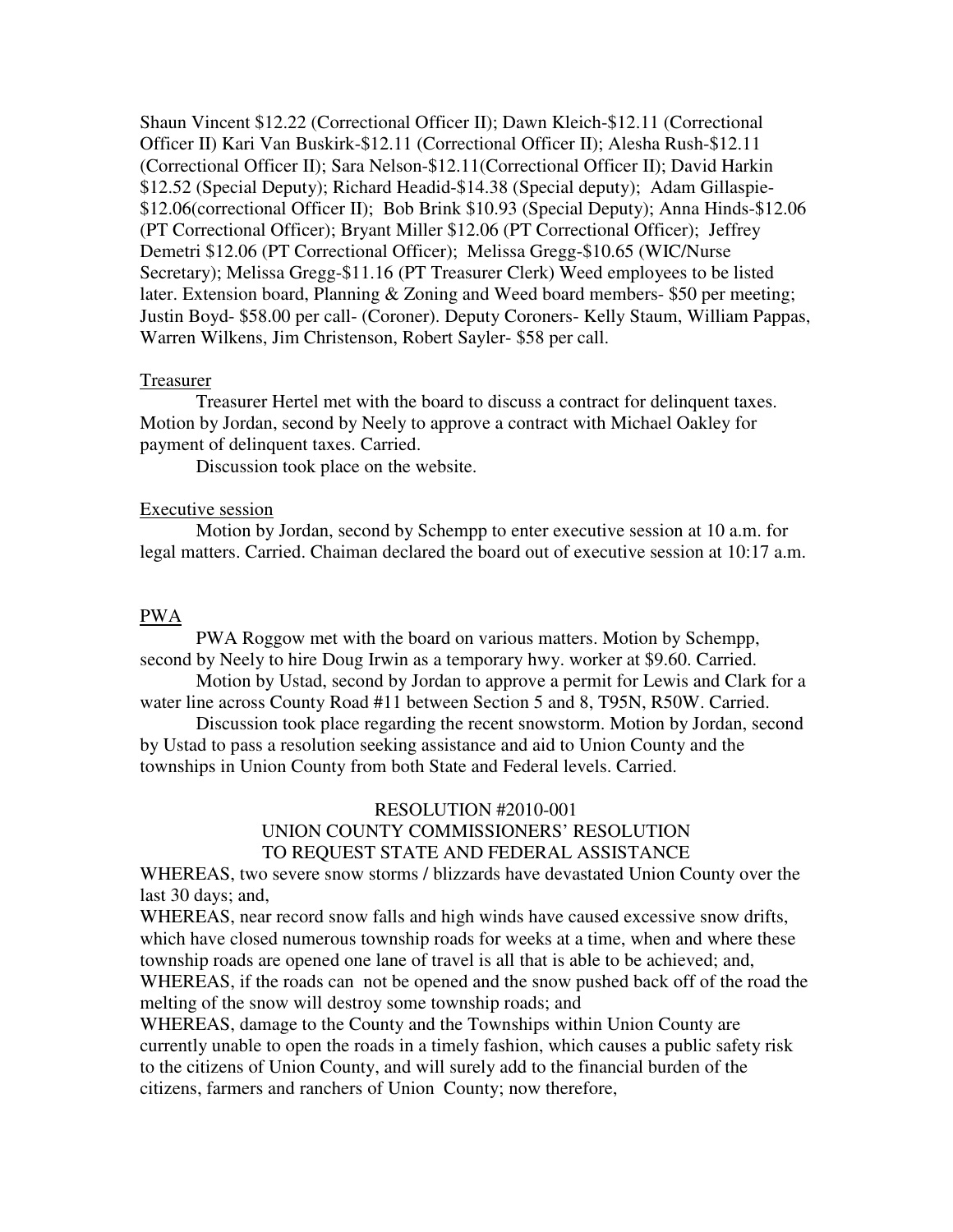Shaun Vincent \$12.22 (Correctional Officer II); Dawn Kleich-\$12.11 (Correctional Officer II) Kari Van Buskirk-\$12.11 (Correctional Officer II); Alesha Rush-\$12.11 (Correctional Officer II); Sara Nelson-\$12.11(Correctional Officer II); David Harkin \$12.52 (Special Deputy); Richard Headid-\$14.38 (Special deputy); Adam Gillaspie- \$12.06(correctional Officer II); Bob Brink \$10.93 (Special Deputy); Anna Hinds-\$12.06 (PT Correctional Officer); Bryant Miller \$12.06 (PT Correctional Officer); Jeffrey Demetri \$12.06 (PT Correctional Officer); Melissa Gregg-\$10.65 (WIC/Nurse Secretary); Melissa Gregg-\$11.16 (PT Treasurer Clerk) Weed employees to be listed later. Extension board, Planning & Zoning and Weed board members- \$50 per meeting; Justin Boyd- \$58.00 per call- (Coroner). Deputy Coroners- Kelly Staum, William Pappas, Warren Wilkens, Jim Christenson, Robert Sayler- \$58 per call.

### Treasurer

 Treasurer Hertel met with the board to discuss a contract for delinquent taxes. Motion by Jordan, second by Neely to approve a contract with Michael Oakley for payment of delinquent taxes. Carried.

Discussion took place on the website.

#### Executive session

 Motion by Jordan, second by Schempp to enter executive session at 10 a.m. for legal matters. Carried. Chaiman declared the board out of executive session at 10:17 a.m.

### PWA

 PWA Roggow met with the board on various matters. Motion by Schempp, second by Neely to hire Doug Irwin as a temporary hwy. worker at \$9.60. Carried.

 Motion by Ustad, second by Jordan to approve a permit for Lewis and Clark for a water line across County Road #11 between Section 5 and 8, T95N, R50W. Carried.

 Discussion took place regarding the recent snowstorm. Motion by Jordan, second by Ustad to pass a resolution seeking assistance and aid to Union County and the townships in Union County from both State and Federal levels. Carried.

# RESOLUTION #2010-001 UNION COUNTY COMMISSIONERS' RESOLUTION TO REQUEST STATE AND FEDERAL ASSISTANCE

WHEREAS, two severe snow storms / blizzards have devastated Union County over the last 30 days; and,

WHEREAS, near record snow falls and high winds have caused excessive snow drifts, which have closed numerous township roads for weeks at a time, when and where these township roads are opened one lane of travel is all that is able to be achieved; and, WHEREAS, if the roads can not be opened and the snow pushed back off of the road the melting of the snow will destroy some township roads; and

WHEREAS, damage to the County and the Townships within Union County are currently unable to open the roads in a timely fashion, which causes a public safety risk to the citizens of Union County, and will surely add to the financial burden of the citizens, farmers and ranchers of Union County; now therefore,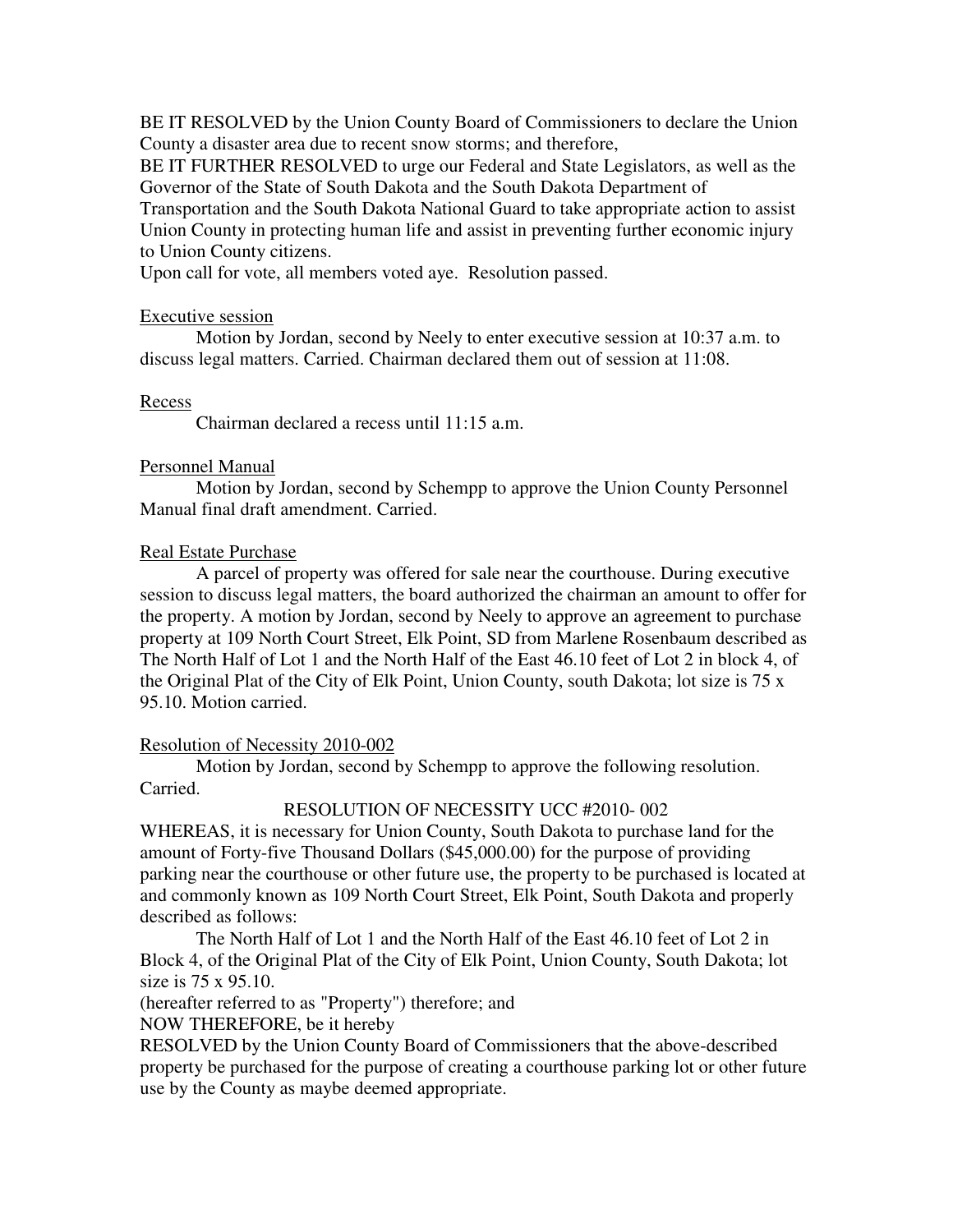BE IT RESOLVED by the Union County Board of Commissioners to declare the Union County a disaster area due to recent snow storms; and therefore,

BE IT FURTHER RESOLVED to urge our Federal and State Legislators, as well as the Governor of the State of South Dakota and the South Dakota Department of Transportation and the South Dakota National Guard to take appropriate action to assist

Union County in protecting human life and assist in preventing further economic injury to Union County citizens.

Upon call for vote, all members voted aye. Resolution passed.

# Executive session

 Motion by Jordan, second by Neely to enter executive session at 10:37 a.m. to discuss legal matters. Carried. Chairman declared them out of session at 11:08.

# Recess

Chairman declared a recess until 11:15 a.m.

# Personnel Manual

 Motion by Jordan, second by Schempp to approve the Union County Personnel Manual final draft amendment. Carried.

# Real Estate Purchase

 A parcel of property was offered for sale near the courthouse. During executive session to discuss legal matters, the board authorized the chairman an amount to offer for the property. A motion by Jordan, second by Neely to approve an agreement to purchase property at 109 North Court Street, Elk Point, SD from Marlene Rosenbaum described as The North Half of Lot 1 and the North Half of the East 46.10 feet of Lot 2 in block 4, of the Original Plat of the City of Elk Point, Union County, south Dakota; lot size is 75 x 95.10. Motion carried.

# Resolution of Necessity 2010-002

 Motion by Jordan, second by Schempp to approve the following resolution. Carried.

# RESOLUTION OF NECESSITY UCC #2010- 002

WHEREAS, it is necessary for Union County, South Dakota to purchase land for the amount of Forty-five Thousand Dollars (\$45,000.00) for the purpose of providing parking near the courthouse or other future use, the property to be purchased is located at and commonly known as 109 North Court Street, Elk Point, South Dakota and properly described as follows:

 The North Half of Lot 1 and the North Half of the East 46.10 feet of Lot 2 in Block 4, of the Original Plat of the City of Elk Point, Union County, South Dakota; lot size is 75 x 95.10.

(hereafter referred to as "Property") therefore; and

NOW THEREFORE, be it hereby

RESOLVED by the Union County Board of Commissioners that the above-described property be purchased for the purpose of creating a courthouse parking lot or other future use by the County as maybe deemed appropriate.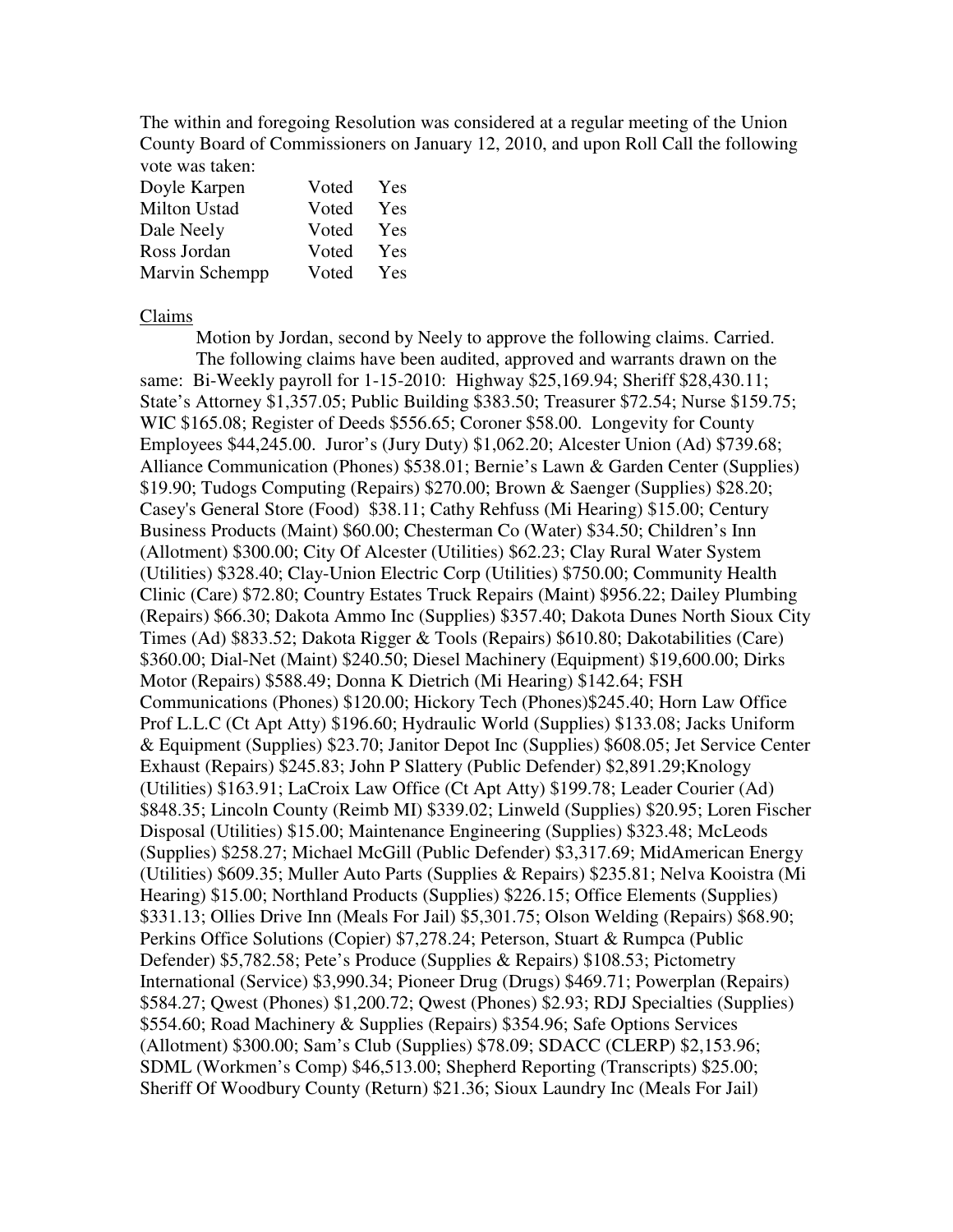The within and foregoing Resolution was considered at a regular meeting of the Union County Board of Commissioners on January 12, 2010, and upon Roll Call the following vote was taken:

| Doyle Karpen        | Voted | Yes |
|---------------------|-------|-----|
| <b>Milton Ustad</b> | Voted | Yes |
| Dale Neely          | Voted | Yes |
| Ross Jordan         | Voted | Yes |
| Marvin Schempp      | Voted | Yes |

Claims

 Motion by Jordan, second by Neely to approve the following claims. Carried. The following claims have been audited, approved and warrants drawn on the same: Bi-Weekly payroll for 1-15-2010: Highway \$25,169.94; Sheriff \$28,430.11; State's Attorney \$1,357.05; Public Building \$383.50; Treasurer \$72.54; Nurse \$159.75; WIC \$165.08; Register of Deeds \$556.65; Coroner \$58.00. Longevity for County Employees \$44,245.00. Juror's (Jury Duty) \$1,062.20; Alcester Union (Ad) \$739.68; Alliance Communication (Phones) \$538.01; Bernie's Lawn & Garden Center (Supplies) \$19.90; Tudogs Computing (Repairs) \$270.00; Brown & Saenger (Supplies) \$28.20; Casey's General Store (Food) \$38.11; Cathy Rehfuss (Mi Hearing) \$15.00; Century Business Products (Maint) \$60.00; Chesterman Co (Water) \$34.50; Children's Inn (Allotment) \$300.00; City Of Alcester (Utilities) \$62.23; Clay Rural Water System (Utilities) \$328.40; Clay-Union Electric Corp (Utilities) \$750.00; Community Health Clinic (Care) \$72.80; Country Estates Truck Repairs (Maint) \$956.22; Dailey Plumbing (Repairs) \$66.30; Dakota Ammo Inc (Supplies) \$357.40; Dakota Dunes North Sioux City Times (Ad) \$833.52; Dakota Rigger & Tools (Repairs) \$610.80; Dakotabilities (Care) \$360.00; Dial-Net (Maint) \$240.50; Diesel Machinery (Equipment) \$19,600.00; Dirks Motor (Repairs) \$588.49; Donna K Dietrich (Mi Hearing) \$142.64; FSH Communications (Phones) \$120.00; Hickory Tech (Phones)\$245.40; Horn Law Office Prof L.L.C (Ct Apt Atty) \$196.60; Hydraulic World (Supplies) \$133.08; Jacks Uniform & Equipment (Supplies) \$23.70; Janitor Depot Inc (Supplies) \$608.05; Jet Service Center Exhaust (Repairs) \$245.83; John P Slattery (Public Defender) \$2,891.29;Knology (Utilities) \$163.91; LaCroix Law Office (Ct Apt Atty) \$199.78; Leader Courier (Ad) \$848.35; Lincoln County (Reimb MI) \$339.02; Linweld (Supplies) \$20.95; Loren Fischer Disposal (Utilities) \$15.00; Maintenance Engineering (Supplies) \$323.48; McLeods (Supplies) \$258.27; Michael McGill (Public Defender) \$3,317.69; MidAmerican Energy (Utilities) \$609.35; Muller Auto Parts (Supplies & Repairs) \$235.81; Nelva Kooistra (Mi Hearing) \$15.00; Northland Products (Supplies) \$226.15; Office Elements (Supplies) \$331.13; Ollies Drive Inn (Meals For Jail) \$5,301.75; Olson Welding (Repairs) \$68.90; Perkins Office Solutions (Copier) \$7,278.24; Peterson, Stuart & Rumpca (Public Defender) \$5,782.58; Pete's Produce (Supplies & Repairs) \$108.53; Pictometry International (Service) \$3,990.34; Pioneer Drug (Drugs) \$469.71; Powerplan (Repairs) \$584.27; Qwest (Phones) \$1,200.72; Qwest (Phones) \$2.93; RDJ Specialties (Supplies) \$554.60; Road Machinery & Supplies (Repairs) \$354.96; Safe Options Services (Allotment) \$300.00; Sam's Club (Supplies) \$78.09; SDACC (CLERP) \$2,153.96; SDML (Workmen's Comp) \$46,513.00; Shepherd Reporting (Transcripts) \$25.00; Sheriff Of Woodbury County (Return) \$21.36; Sioux Laundry Inc (Meals For Jail)